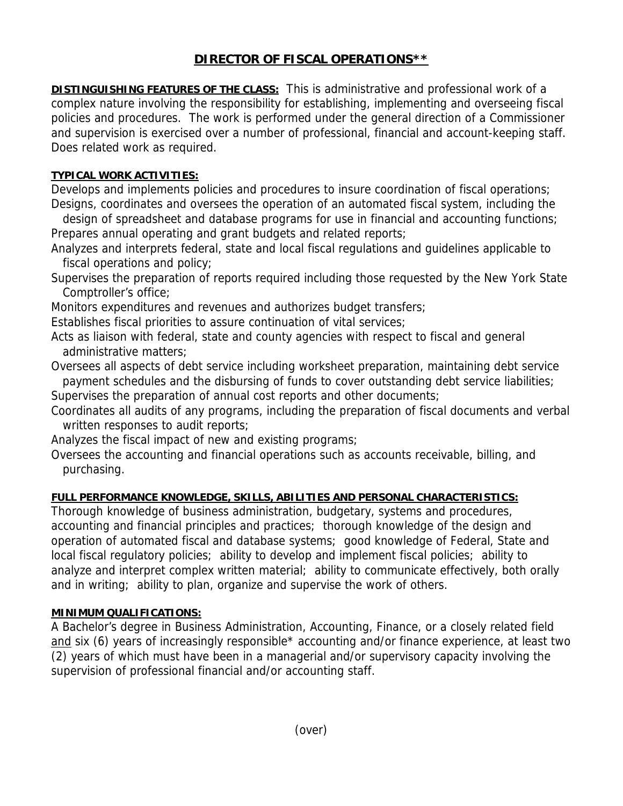# **DIRECTOR OF FISCAL OPERATIONS\*\***

**DISTINGUISHING FEATURES OF THE CLASS:** This is administrative and professional work of a complex nature involving the responsibility for establishing, implementing and overseeing fiscal policies and procedures. The work is performed under the general direction of a Commissioner and supervision is exercised over a number of professional, financial and account-keeping staff. Does related work as required.

#### **TYPICAL WORK ACTIVITIES:**

Develops and implements policies and procedures to insure coordination of fiscal operations; Designs, coordinates and oversees the operation of an automated fiscal system, including the

 design of spreadsheet and database programs for use in financial and accounting functions; Prepares annual operating and grant budgets and related reports;

Analyzes and interprets federal, state and local fiscal regulations and guidelines applicable to fiscal operations and policy;

Supervises the preparation of reports required including those requested by the New York State Comptroller's office;

Monitors expenditures and revenues and authorizes budget transfers;

Establishes fiscal priorities to assure continuation of vital services;

Acts as liaison with federal, state and county agencies with respect to fiscal and general administrative matters;

Oversees all aspects of debt service including worksheet preparation, maintaining debt service payment schedules and the disbursing of funds to cover outstanding debt service liabilities;

Supervises the preparation of annual cost reports and other documents;

Coordinates all audits of any programs, including the preparation of fiscal documents and verbal written responses to audit reports;

Analyzes the fiscal impact of new and existing programs;

Oversees the accounting and financial operations such as accounts receivable, billing, and purchasing.

## **FULL PERFORMANCE KNOWLEDGE, SKILLS, ABILITIES AND PERSONAL CHARACTERISTICS:**

Thorough knowledge of business administration, budgetary, systems and procedures, accounting and financial principles and practices; thorough knowledge of the design and operation of automated fiscal and database systems; good knowledge of Federal, State and local fiscal regulatory policies; ability to develop and implement fiscal policies; ability to analyze and interpret complex written material; ability to communicate effectively, both orally and in writing; ability to plan, organize and supervise the work of others.

## **MINIMUM QUALIFICATIONS:**

A Bachelor's degree in Business Administration, Accounting, Finance, or a closely related field and six (6) years of increasingly responsible\* accounting and/or finance experience, at least two (2) years of which must have been in a managerial and/or supervisory capacity involving the supervision of professional financial and/or accounting staff.